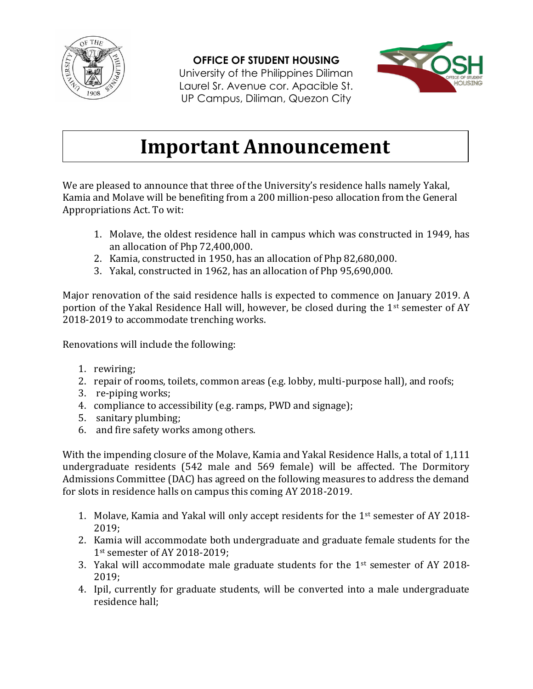

## **OFFICE OF STUDENT HOUSING**

University of the Philippines Diliman Laurel Sr. Avenue cor. Apacible St. UP Campus, Diliman, Quezon City



## **Important Announcement**

We are pleased to announce that three of the University's residence halls namely Yakal, Kamia and Molave will be benefiting from a 200 million-peso allocation from the General Appropriations Act. To wit:

- 1. Molave, the oldest residence hall in campus which was constructed in 1949, has an allocation of Php 72,400,000.
- 2. Kamia, constructed in 1950, has an allocation of Php 82,680,000.
- 3. Yakal, constructed in 1962, has an allocation of Php 95,690,000.

Major renovation of the said residence halls is expected to commence on January 2019. A portion of the Yakal Residence Hall will, however, be closed during the 1<sup>st</sup> semester of AY 2018-2019 to accommodate trenching works.

Renovations will include the following:

- 1. rewiring;
- 2. repair of rooms, toilets, common areas (e.g. lobby, multi-purpose hall), and roofs;
- 3. re-piping works;
- 4. compliance to accessibility (e.g. ramps, PWD and signage);
- 5. sanitary plumbing;
- 6. and fire safety works among others.

With the impending closure of the Molave, Kamia and Yakal Residence Halls, a total of 1,111 undergraduate residents (542 male and 569 female) will be affected. The Dormitory Admissions Committee (DAC) has agreed on the following measures to address the demand for slots in residence halls on campus this coming AY 2018-2019.

- 1. Molave, Kamia and Yakal will only accept residents for the 1st semester of AY 2018- 2019;
- 2. Kamia will accommodate both undergraduate and graduate female students for the 1st semester of AY 2018-2019;
- 3. Yakal will accommodate male graduate students for the 1st semester of AY 2018- 2019;
- 4. Ipil, currently for graduate students, will be converted into a male undergraduate residence hall;